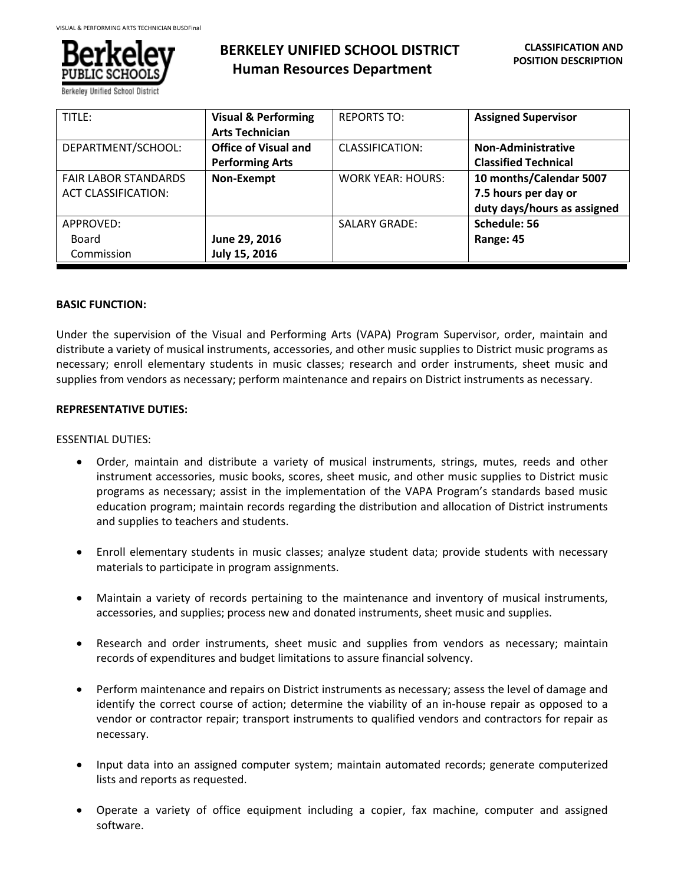

# **BERKELEY UNIFIED SCHOOL DISTRICT Human Resources Department**

| TITLE:                      | <b>Visual &amp; Performing</b> | <b>REPORTS TO:</b>       | <b>Assigned Supervisor</b>  |
|-----------------------------|--------------------------------|--------------------------|-----------------------------|
|                             | <b>Arts Technician</b>         |                          |                             |
| DEPARTMENT/SCHOOL:          | <b>Office of Visual and</b>    | CLASSIFICATION:          | <b>Non-Administrative</b>   |
|                             | <b>Performing Arts</b>         |                          | <b>Classified Technical</b> |
| <b>FAIR LABOR STANDARDS</b> | Non-Exempt                     | <b>WORK YEAR: HOURS:</b> | 10 months/Calendar 5007     |
| <b>ACT CLASSIFICATION:</b>  |                                |                          | 7.5 hours per day or        |
|                             |                                |                          | duty days/hours as assigned |
| APPROVED:                   |                                | <b>SALARY GRADE:</b>     | Schedule: 56                |
| Board                       | June 29, 2016                  |                          | Range: 45                   |
| Commission                  | July 15, 2016                  |                          |                             |

## **BASIC FUNCTION:**

Under the supervision of the Visual and Performing Arts (VAPA) Program Supervisor, order, maintain and distribute a variety of musical instruments, accessories, and other music supplies to District music programs as necessary; enroll elementary students in music classes; research and order instruments, sheet music and supplies from vendors as necessary; perform maintenance and repairs on District instruments as necessary.

## **REPRESENTATIVE DUTIES:**

#### ESSENTIAL DUTIES:

- Order, maintain and distribute a variety of musical instruments, strings, mutes, reeds and other instrument accessories, music books, scores, sheet music, and other music supplies to District music programs as necessary; assist in the implementation of the VAPA Program's standards based music education program; maintain records regarding the distribution and allocation of District instruments and supplies to teachers and students.
- Enroll elementary students in music classes; analyze student data; provide students with necessary materials to participate in program assignments.
- Maintain a variety of records pertaining to the maintenance and inventory of musical instruments, accessories, and supplies; process new and donated instruments, sheet music and supplies.
- Research and order instruments, sheet music and supplies from vendors as necessary; maintain records of expenditures and budget limitations to assure financial solvency.
- Perform maintenance and repairs on District instruments as necessary; assess the level of damage and identify the correct course of action; determine the viability of an in-house repair as opposed to a vendor or contractor repair; transport instruments to qualified vendors and contractors for repair as necessary.
- Input data into an assigned computer system; maintain automated records; generate computerized lists and reports as requested.
- Operate a variety of office equipment including a copier, fax machine, computer and assigned software.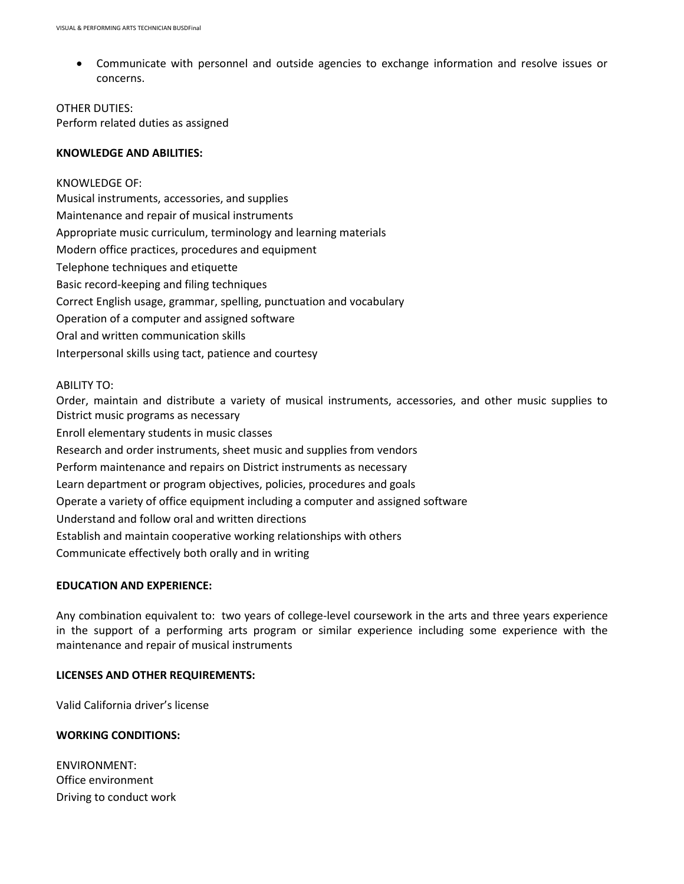Communicate with personnel and outside agencies to exchange information and resolve issues or concerns.

OTHER DUTIES: Perform related duties as assigned

## **KNOWLEDGE AND ABILITIES:**

# KNOWLEDGE OF:

Musical instruments, accessories, and supplies Maintenance and repair of musical instruments Appropriate music curriculum, terminology and learning materials Modern office practices, procedures and equipment Telephone techniques and etiquette Basic record-keeping and filing techniques Correct English usage, grammar, spelling, punctuation and vocabulary Operation of a computer and assigned software Oral and written communication skills Interpersonal skills using tact, patience and courtesy

#### ABILITY TO:

Order, maintain and distribute a variety of musical instruments, accessories, and other music supplies to District music programs as necessary Enroll elementary students in music classes Research and order instruments, sheet music and supplies from vendors Perform maintenance and repairs on District instruments as necessary Learn department or program objectives, policies, procedures and goals Operate a variety of office equipment including a computer and assigned software Understand and follow oral and written directions Establish and maintain cooperative working relationships with others Communicate effectively both orally and in writing

# **EDUCATION AND EXPERIENCE:**

Any combination equivalent to: two years of college-level coursework in the arts and three years experience in the support of a performing arts program or similar experience including some experience with the maintenance and repair of musical instruments

## **LICENSES AND OTHER REQUIREMENTS:**

Valid California driver's license

## **WORKING CONDITIONS:**

ENVIRONMENT: Office environment Driving to conduct work